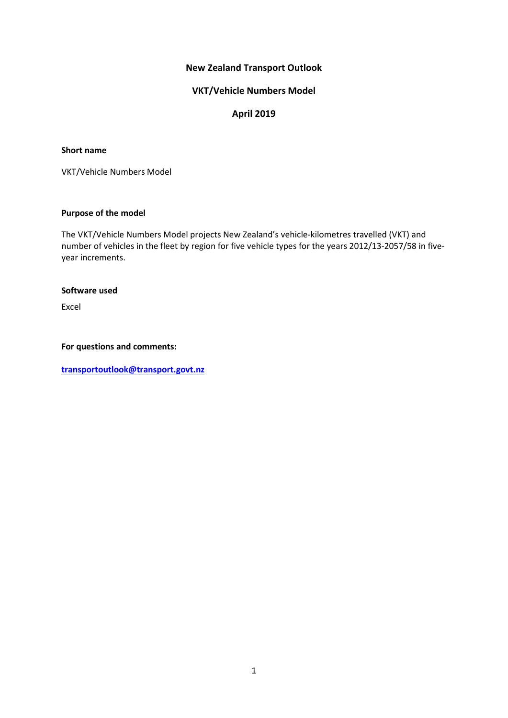# **New Zealand Transport Outlook**

# **VKT/Vehicle Numbers Model**

# **April 2019**

#### **Short name**

VKT/Vehicle Numbers Model

#### **Purpose of the model**

The VKT/Vehicle Numbers Model projects New Zealand's vehicle-kilometres travelled (VKT) and number of vehicles in the fleet by region for five vehicle types for the years 2012/13-2057/58 in fiveyear increments.

#### **Software used**

Excel

#### **For questions and comments:**

**[transportoutlook@transport.govt.nz](mailto:transportoutlook@transport.govt.nz)**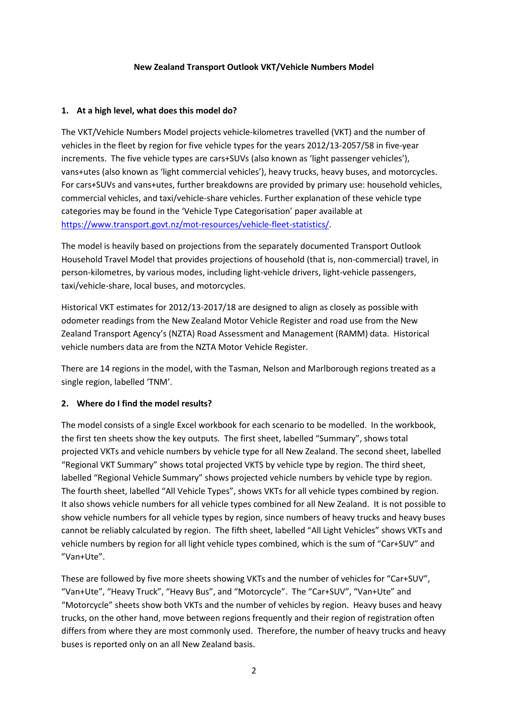#### **New Zealand Transport Outlook VKT/Vehicle Numbers Model**

#### **1. At a high level, what does this model do?**

The VKT/Vehicle Numbers Model projects vehicle-kilometres travelled (VKT) and the number of vehicles in the fleet by region for five vehicle types for the years 2012/13-2057/58 in five-year increments. The five vehicle types are cars+SUVs (also known as 'light passenger vehicles'), vans+utes (also known as 'light commercial vehicles'), heavy trucks, heavy buses, and motorcycles. For cars+SUVs and vans+utes, further breakdowns are provided by primary use: household vehicles, commercial vehicles, and taxi/vehicle-share vehicles. Further explanation of these vehicle type categories may be found in the 'Vehicle Type Categorisation' paper available at [https://www.transport.govt.nz/mot-resources/vehicle-fleet-statistics/.](https://www.transport.govt.nz/mot-resources/vehicle-fleet-statistics/)

The model is heavily based on projections from the separately documented Transport Outlook Household Travel Model that provides projections of household (that is, non-commercial) travel, in person-kilometres, by various modes, including light-vehicle drivers, light-vehicle passengers, taxi/vehicle-share, local buses, and motorcycles.

Historical VKT estimates for 2012/13-2017/18 are designed to align as closely as possible with odometer readings from the New Zealand Motor Vehicle Register and road use from the New Zealand Transport Agency's (NZTA) Road Assessment and Management (RAMM) data. Historical vehicle numbers data are from the NZTA Motor Vehicle Register.

There are 14 regions in the model, with the Tasman, Nelson and Marlborough regions treated as a single region, labelled 'TNM'.

## **2. Where do I find the model results?**

The model consists of a single Excel workbook for each scenario to be modelled. In the workbook, the first ten sheets show the key outputs. The first sheet, labelled "Summary", shows total projected VKTs and vehicle numbers by vehicle type for all New Zealand. The second sheet, labelled "Regional VKT Summary" shows total projected VKTS by vehicle type by region. The third sheet, labelled "Regional Vehicle Summary" shows projected vehicle numbers by vehicle type by region. The fourth sheet, labelled "All Vehicle Types", shows VKTs for all vehicle types combined by region. It also shows vehicle numbers for all vehicle types combined for all New Zealand. It is not possible to show vehicle numbers for all vehicle types by region, since numbers of heavy trucks and heavy buses cannot be reliably calculated by region. The fifth sheet, labelled "All Light Vehicles" shows VKTs and vehicle numbers by region for all light vehicle types combined, which is the sum of "Car+SUV" and "Van+Ute".

These are followed by five more sheets showing VKTs and the number of vehicles for "Car+SUV", "Van+Ute", "Heavy Truck", "Heavy Bus", and "Motorcycle". The "Car+SUV", "Van+Ute" and "Motorcycle" sheets show both VKTs and the number of vehicles by region. Heavy buses and heavy trucks, on the other hand, move between regions frequently and their region of registration often differs from where they are most commonly used. Therefore, the number of heavy trucks and heavy buses is reported only on an all New Zealand basis.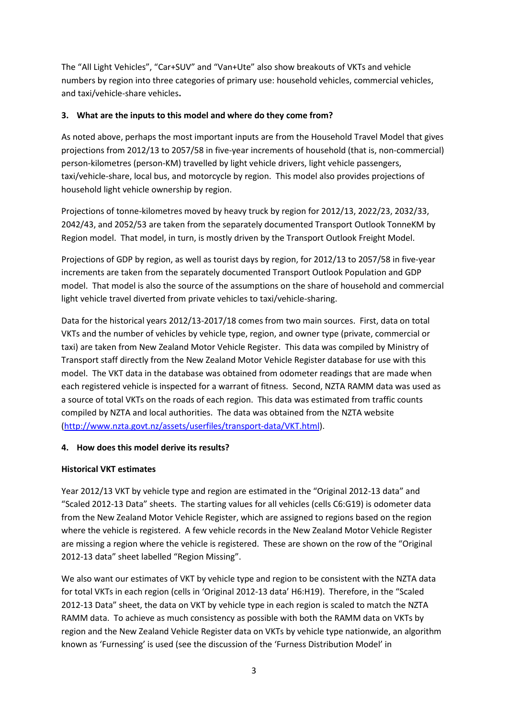The "All Light Vehicles", "Car+SUV" and "Van+Ute" also show breakouts of VKTs and vehicle numbers by region into three categories of primary use: household vehicles, commercial vehicles, and taxi/vehicle-share vehicles**.** 

# **3. What are the inputs to this model and where do they come from?**

As noted above, perhaps the most important inputs are from the Household Travel Model that gives projections from 2012/13 to 2057/58 in five-year increments of household (that is, non-commercial) person-kilometres (person-KM) travelled by light vehicle drivers, light vehicle passengers, taxi/vehicle-share, local bus, and motorcycle by region. This model also provides projections of household light vehicle ownership by region.

Projections of tonne-kilometres moved by heavy truck by region for 2012/13, 2022/23, 2032/33, 2042/43, and 2052/53 are taken from the separately documented Transport Outlook TonneKM by Region model. That model, in turn, is mostly driven by the Transport Outlook Freight Model.

Projections of GDP by region, as well as tourist days by region, for 2012/13 to 2057/58 in five-year increments are taken from the separately documented Transport Outlook Population and GDP model. That model is also the source of the assumptions on the share of household and commercial light vehicle travel diverted from private vehicles to taxi/vehicle-sharing.

Data for the historical years 2012/13-2017/18 comes from two main sources. First, data on total VKTs and the number of vehicles by vehicle type, region, and owner type (private, commercial or taxi) are taken from New Zealand Motor Vehicle Register. This data was compiled by Ministry of Transport staff directly from the New Zealand Motor Vehicle Register database for use with this model. The VKT data in the database was obtained from odometer readings that are made when each registered vehicle is inspected for a warrant of fitness. Second, NZTA RAMM data was used as a source of total VKTs on the roads of each region. This data was estimated from traffic counts compiled by NZTA and local authorities. The data was obtained from the NZTA website [\(http://www.nzta.govt.nz/assets/userfiles/transport-data/VKT.html\)](http://www.nzta.govt.nz/assets/userfiles/transport-data/VKT.html).

## **4. How does this model derive its results?**

## **Historical VKT estimates**

Year 2012/13 VKT by vehicle type and region are estimated in the "Original 2012-13 data" and "Scaled 2012-13 Data" sheets. The starting values for all vehicles (cells C6:G19) is odometer data from the New Zealand Motor Vehicle Register, which are assigned to regions based on the region where the vehicle is registered. A few vehicle records in the New Zealand Motor Vehicle Register are missing a region where the vehicle is registered. These are shown on the row of the "Original 2012-13 data" sheet labelled "Region Missing".

We also want our estimates of VKT by vehicle type and region to be consistent with the NZTA data for total VKTs in each region (cells in 'Original 2012-13 data' H6:H19). Therefore, in the "Scaled 2012-13 Data" sheet, the data on VKT by vehicle type in each region is scaled to match the NZTA RAMM data. To achieve as much consistency as possible with both the RAMM data on VKTs by region and the New Zealand Vehicle Register data on VKTs by vehicle type nationwide, an algorithm known as 'Furnessing' is used (see the discussion of the 'Furness Distribution Model' in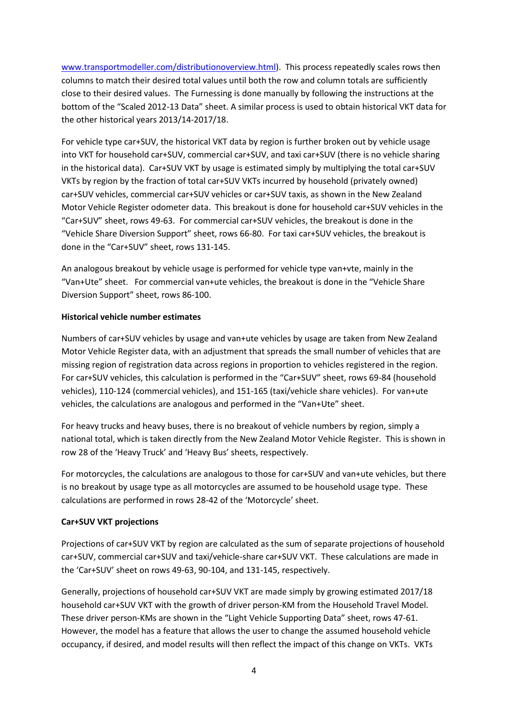[www.transportmodeller.com/distributionoverview.html\)](http://www.transportmodeller.com/distributionoverview.html). This process repeatedly scales rows then columns to match their desired total values until both the row and column totals are sufficiently close to their desired values. The Furnessing is done manually by following the instructions at the bottom of the "Scaled 2012-13 Data" sheet. A similar process is used to obtain historical VKT data for the other historical years 2013/14-2017/18.

For vehicle type car+SUV, the historical VKT data by region is further broken out by vehicle usage into VKT for household car+SUV, commercial car+SUV, and taxi car+SUV (there is no vehicle sharing in the historical data). Car+SUV VKT by usage is estimated simply by multiplying the total car+SUV VKTs by region by the fraction of total car+SUV VKTs incurred by household (privately owned) car+SUV vehicles, commercial car+SUV vehicles or car+SUV taxis, as shown in the New Zealand Motor Vehicle Register odometer data. This breakout is done for household car+SUV vehicles in the "Car+SUV" sheet, rows 49-63. For commercial car+SUV vehicles, the breakout is done in the "Vehicle Share Diversion Support" sheet, rows 66-80. For taxi car+SUV vehicles, the breakout is done in the "Car+SUV" sheet, rows 131-145.

An analogous breakout by vehicle usage is performed for vehicle type van+vte, mainly in the "Van+Ute" sheet. For commercial van+ute vehicles, the breakout is done in the "Vehicle Share Diversion Support" sheet, rows 86-100.

## **Historical vehicle number estimates**

Numbers of car+SUV vehicles by usage and van+ute vehicles by usage are taken from New Zealand Motor Vehicle Register data, with an adjustment that spreads the small number of vehicles that are missing region of registration data across regions in proportion to vehicles registered in the region. For car+SUV vehicles, this calculation is performed in the "Car+SUV" sheet, rows 69-84 (household vehicles), 110-124 (commercial vehicles), and 151-165 (taxi/vehicle share vehicles). For van+ute vehicles, the calculations are analogous and performed in the "Van+Ute" sheet.

For heavy trucks and heavy buses, there is no breakout of vehicle numbers by region, simply a national total, which is taken directly from the New Zealand Motor Vehicle Register. This is shown in row 28 of the 'Heavy Truck' and 'Heavy Bus' sheets, respectively.

For motorcycles, the calculations are analogous to those for car+SUV and van+ute vehicles, but there is no breakout by usage type as all motorcycles are assumed to be household usage type. These calculations are performed in rows 28-42 of the 'Motorcycle' sheet.

## **Car+SUV VKT projections**

Projections of car+SUV VKT by region are calculated as the sum of separate projections of household car+SUV, commercial car+SUV and taxi/vehicle-share car+SUV VKT. These calculations are made in the 'Car+SUV' sheet on rows 49-63, 90-104, and 131-145, respectively.

Generally, projections of household car+SUV VKT are made simply by growing estimated 2017/18 household car+SUV VKT with the growth of driver person-KM from the Household Travel Model. These driver person-KMs are shown in the "Light Vehicle Supporting Data" sheet, rows 47-61. However, the model has a feature that allows the user to change the assumed household vehicle occupancy, if desired, and model results will then reflect the impact of this change on VKTs. VKTs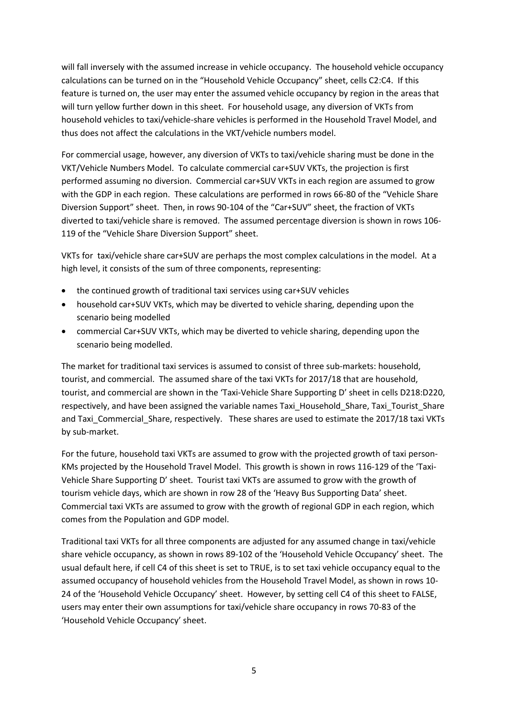will fall inversely with the assumed increase in vehicle occupancy. The household vehicle occupancy calculations can be turned on in the "Household Vehicle Occupancy" sheet, cells C2:C4. If this feature is turned on, the user may enter the assumed vehicle occupancy by region in the areas that will turn yellow further down in this sheet. For household usage, any diversion of VKTs from household vehicles to taxi/vehicle-share vehicles is performed in the Household Travel Model, and thus does not affect the calculations in the VKT/vehicle numbers model.

For commercial usage, however, any diversion of VKTs to taxi/vehicle sharing must be done in the VKT/Vehicle Numbers Model. To calculate commercial car+SUV VKTs, the projection is first performed assuming no diversion. Commercial car+SUV VKTs in each region are assumed to grow with the GDP in each region. These calculations are performed in rows 66-80 of the "Vehicle Share Diversion Support" sheet. Then, in rows 90-104 of the "Car+SUV" sheet, the fraction of VKTs diverted to taxi/vehicle share is removed. The assumed percentage diversion is shown in rows 106- 119 of the "Vehicle Share Diversion Support" sheet.

VKTs for taxi/vehicle share car+SUV are perhaps the most complex calculations in the model. At a high level, it consists of the sum of three components, representing:

- the continued growth of traditional taxi services using car+SUV vehicles
- household car+SUV VKTs, which may be diverted to vehicle sharing, depending upon the scenario being modelled
- commercial Car+SUV VKTs, which may be diverted to vehicle sharing, depending upon the scenario being modelled.

The market for traditional taxi services is assumed to consist of three sub-markets: household, tourist, and commercial. The assumed share of the taxi VKTs for 2017/18 that are household, tourist, and commercial are shown in the 'Taxi-Vehicle Share Supporting D' sheet in cells D218:D220, respectively, and have been assigned the variable names Taxi Household Share, Taxi Tourist Share and Taxi Commercial Share, respectively. These shares are used to estimate the 2017/18 taxi VKTs by sub-market.

For the future, household taxi VKTs are assumed to grow with the projected growth of taxi person-KMs projected by the Household Travel Model. This growth is shown in rows 116-129 of the 'Taxi-Vehicle Share Supporting D' sheet. Tourist taxi VKTs are assumed to grow with the growth of tourism vehicle days, which are shown in row 28 of the 'Heavy Bus Supporting Data' sheet. Commercial taxi VKTs are assumed to grow with the growth of regional GDP in each region, which comes from the Population and GDP model.

Traditional taxi VKTs for all three components are adjusted for any assumed change in taxi/vehicle share vehicle occupancy, as shown in rows 89-102 of the 'Household Vehicle Occupancy' sheet. The usual default here, if cell C4 of this sheet is set to TRUE, is to set taxi vehicle occupancy equal to the assumed occupancy of household vehicles from the Household Travel Model, as shown in rows 10- 24 of the 'Household Vehicle Occupancy' sheet. However, by setting cell C4 of this sheet to FALSE, users may enter their own assumptions for taxi/vehicle share occupancy in rows 70-83 of the 'Household Vehicle Occupancy' sheet.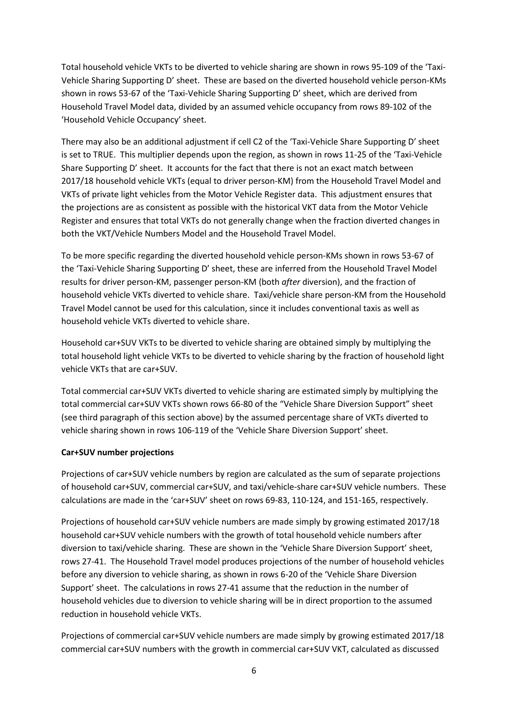Total household vehicle VKTs to be diverted to vehicle sharing are shown in rows 95-109 of the 'Taxi-Vehicle Sharing Supporting D' sheet. These are based on the diverted household vehicle person-KMs shown in rows 53-67 of the 'Taxi-Vehicle Sharing Supporting D' sheet, which are derived from Household Travel Model data, divided by an assumed vehicle occupancy from rows 89-102 of the 'Household Vehicle Occupancy' sheet.

There may also be an additional adjustment if cell C2 of the 'Taxi-Vehicle Share Supporting D' sheet is set to TRUE. This multiplier depends upon the region, as shown in rows 11-25 of the 'Taxi-Vehicle Share Supporting D' sheet. It accounts for the fact that there is not an exact match between 2017/18 household vehicle VKTs (equal to driver person-KM) from the Household Travel Model and VKTs of private light vehicles from the Motor Vehicle Register data. This adjustment ensures that the projections are as consistent as possible with the historical VKT data from the Motor Vehicle Register and ensures that total VKTs do not generally change when the fraction diverted changes in both the VKT/Vehicle Numbers Model and the Household Travel Model.

To be more specific regarding the diverted household vehicle person-KMs shown in rows 53-67 of the 'Taxi-Vehicle Sharing Supporting D' sheet, these are inferred from the Household Travel Model results for driver person-KM, passenger person-KM (both *after* diversion), and the fraction of household vehicle VKTs diverted to vehicle share. Taxi/vehicle share person-KM from the Household Travel Model cannot be used for this calculation, since it includes conventional taxis as well as household vehicle VKTs diverted to vehicle share.

Household car+SUV VKTs to be diverted to vehicle sharing are obtained simply by multiplying the total household light vehicle VKTs to be diverted to vehicle sharing by the fraction of household light vehicle VKTs that are car+SUV.

Total commercial car+SUV VKTs diverted to vehicle sharing are estimated simply by multiplying the total commercial car+SUV VKTs shown rows 66-80 of the "Vehicle Share Diversion Support" sheet (see third paragraph of this section above) by the assumed percentage share of VKTs diverted to vehicle sharing shown in rows 106-119 of the 'Vehicle Share Diversion Support' sheet.

## **Car+SUV number projections**

Projections of car+SUV vehicle numbers by region are calculated as the sum of separate projections of household car+SUV, commercial car+SUV, and taxi/vehicle-share car+SUV vehicle numbers. These calculations are made in the 'car+SUV' sheet on rows 69-83, 110-124, and 151-165, respectively.

Projections of household car+SUV vehicle numbers are made simply by growing estimated 2017/18 household car+SUV vehicle numbers with the growth of total household vehicle numbers after diversion to taxi/vehicle sharing. These are shown in the 'Vehicle Share Diversion Support' sheet, rows 27-41. The Household Travel model produces projections of the number of household vehicles before any diversion to vehicle sharing, as shown in rows 6-20 of the 'Vehicle Share Diversion Support' sheet. The calculations in rows 27-41 assume that the reduction in the number of household vehicles due to diversion to vehicle sharing will be in direct proportion to the assumed reduction in household vehicle VKTs.

Projections of commercial car+SUV vehicle numbers are made simply by growing estimated 2017/18 commercial car+SUV numbers with the growth in commercial car+SUV VKT, calculated as discussed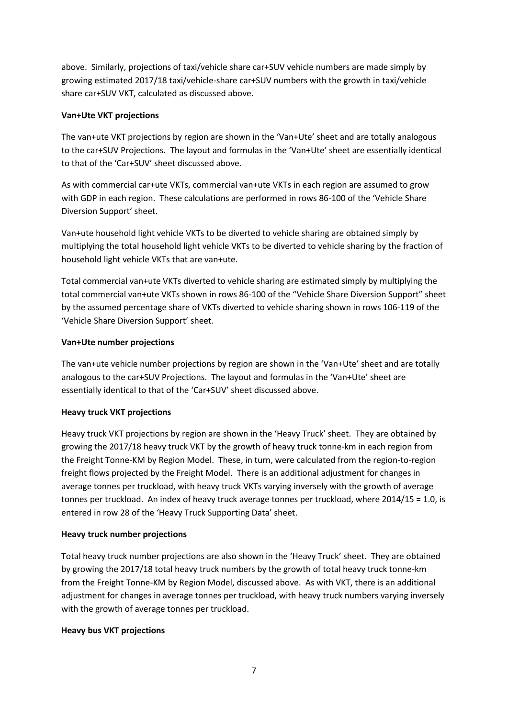above. Similarly, projections of taxi/vehicle share car+SUV vehicle numbers are made simply by growing estimated 2017/18 taxi/vehicle-share car+SUV numbers with the growth in taxi/vehicle share car+SUV VKT, calculated as discussed above.

#### **Van+Ute VKT projections**

The van+ute VKT projections by region are shown in the 'Van+Ute' sheet and are totally analogous to the car+SUV Projections. The layout and formulas in the 'Van+Ute' sheet are essentially identical to that of the 'Car+SUV' sheet discussed above.

As with commercial car+ute VKTs, commercial van+ute VKTs in each region are assumed to grow with GDP in each region. These calculations are performed in rows 86-100 of the 'Vehicle Share Diversion Support' sheet.

Van+ute household light vehicle VKTs to be diverted to vehicle sharing are obtained simply by multiplying the total household light vehicle VKTs to be diverted to vehicle sharing by the fraction of household light vehicle VKTs that are van+ute.

Total commercial van+ute VKTs diverted to vehicle sharing are estimated simply by multiplying the total commercial van+ute VKTs shown in rows 86-100 of the "Vehicle Share Diversion Support" sheet by the assumed percentage share of VKTs diverted to vehicle sharing shown in rows 106-119 of the 'Vehicle Share Diversion Support' sheet.

#### **Van+Ute number projections**

The van+ute vehicle number projections by region are shown in the 'Van+Ute' sheet and are totally analogous to the car+SUV Projections. The layout and formulas in the 'Van+Ute' sheet are essentially identical to that of the 'Car+SUV' sheet discussed above.

## **Heavy truck VKT projections**

Heavy truck VKT projections by region are shown in the 'Heavy Truck' sheet. They are obtained by growing the 2017/18 heavy truck VKT by the growth of heavy truck tonne-km in each region from the Freight Tonne-KM by Region Model. These, in turn, were calculated from the region-to-region freight flows projected by the Freight Model. There is an additional adjustment for changes in average tonnes per truckload, with heavy truck VKTs varying inversely with the growth of average tonnes per truckload. An index of heavy truck average tonnes per truckload, where 2014/15 = 1.0, is entered in row 28 of the 'Heavy Truck Supporting Data' sheet.

## **Heavy truck number projections**

Total heavy truck number projections are also shown in the 'Heavy Truck' sheet. They are obtained by growing the 2017/18 total heavy truck numbers by the growth of total heavy truck tonne-km from the Freight Tonne-KM by Region Model, discussed above. As with VKT, there is an additional adjustment for changes in average tonnes per truckload, with heavy truck numbers varying inversely with the growth of average tonnes per truckload.

#### **Heavy bus VKT projections**